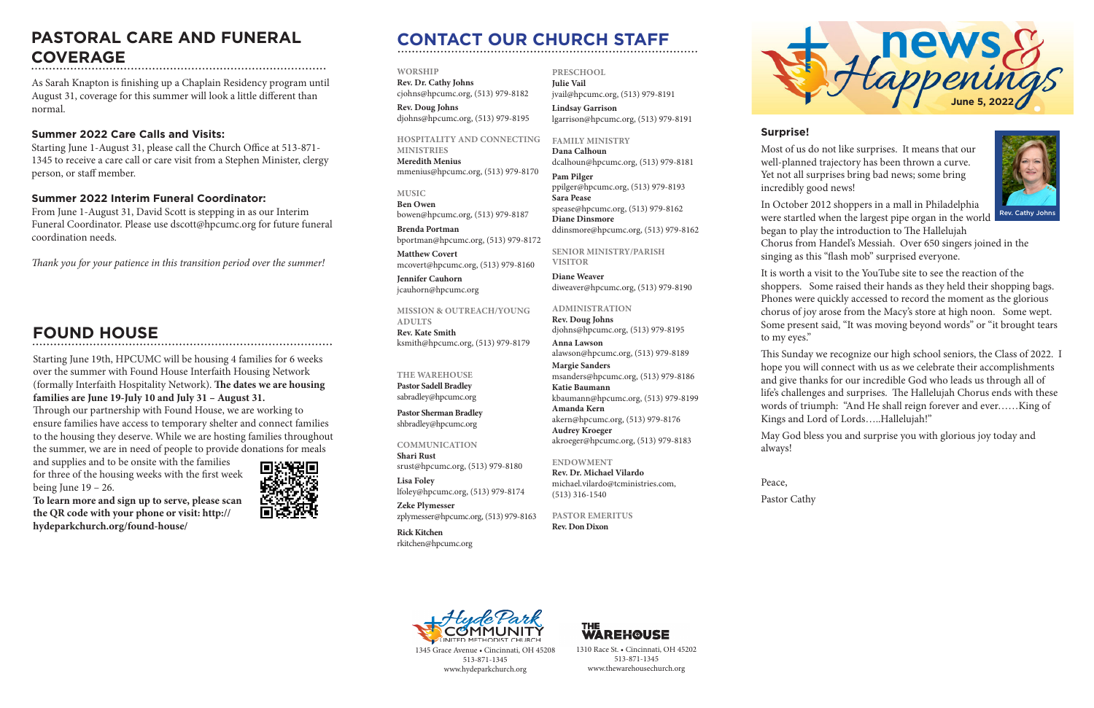# **CONTACT OUR CHURCH STAFF**

**WORSHIP Rev. Dr. Cathy Johns** 

cjohns@hpcumc.org, (513) 979-8182 **Rev. Doug Johns**

djohns@hpcumc.org, (513) 979-8195

**HOSPITALITY AND CONNECTING MINISTRIES**

**Meredith Menius** mmenius@hpcumc.org, (513) 979-8170

**MUSIC Ben Owen** bowen@hpcumc.org, (513) 979-8187

**Brenda Portman** bportman@hpcumc.org, (513) 979-8172

**Matthew Covert**  mcovert@hpcumc.org, (513) 979-8160

**Jennifer Cauhorn** jcauhorn@hpcumc.org

**MISSION & OUTREACH/YOUNG ADULTS Rev. Kate Smith**

ksmith@hpcumc.org, (513) 979-8179

### **THE WAREHOUSE**

**Pastor Sadell Bradley** sabradley@hpcumc.org

**Pastor Sherman Bradley** shbradley@hpcumc.org

### **COMMUNICATION**

**Shari Rust**  srust@hpcumc.org, (513) 979-8180 **Lisa Foley** 

lfoley@hpcumc.org, (513) 979-8174 **Zeke Plymesser** zplymesser@hpcumc.org, (513) 979-8163

**Rick Kitchen** rkitchen@hpcumc.org **PRESCHOOL Julie Vail** jvail@hpcumc.org, (513) 979-8191 **Lindsay Garrison**

lgarrison@hpcumc.org, (513) 979-8191

### **FAMILY MINISTRY**

**Dana Calhoun** dcalhoun@hpcumc.org, (513) 979-8181

**Pam Pilger** ppilger@hpcumc.org, (513) 979-8193 **Sara Pease** spease@hpcumc.org, (513) 979-8162 **Diane Dinsmore** ddinsmore@hpcumc.org, (513) 979-8162

**SENIOR MINISTRY/PARISH VISITOR**

**Diane Weaver** diweaver@hpcumc.org, (513) 979-8190

### **ADMINISTRATION**

**Rev. Doug Johns** djohns@hpcumc.org, (513) 979-8195 **Anna Lawson** alawson@hpcumc.org, (513) 979-8189 **Margie Sanders** msanders@hpcumc.org, (513) 979-8186 **Katie Baumann** kbaumann@hpcumc.org, (513) 979-8199 **Amanda Kern** akern@hpcumc.org, (513) 979-8176 **Audrey Kroeger** akroeger@hpcumc.org, (513) 979-8183

### **ENDOWMENT**

**Rev. Dr. Michael Vilardo** michael.vilardo@tcministries.com, (513) 316-1540

**PASTOR EMERITUS Rev. Don Dixon**



1345 Grace Avenue • Cincinnati, OH 45208 513-871-1345 www.hydeparkchurch.org



1310 Race St. • Cincinnati, OH 45202 513-871-1345 www.thewarehousechurch.org

### **Surprise!**

Most of us do not like surprises. It means that our well-planned trajectory has been thrown a curve. Yet not all surprises bring bad news; some bring incredibly good news!

In October 2012 shoppers in a mall in Philadelphia were startled when the largest pipe organ in the world began to play the introduction to The Hallelujah

and supplies and to be onsite with the families for three of the housing weeks with the first week being June  $19 - 26$ .



Chorus from Handel's Messiah. Over 650 singers joined in the singing as this "flash mob" surprised everyone.

It is worth a visit to the YouTube site to see the reaction of the shoppers. Some raised their hands as they held their shopping bags. Phones were quickly accessed to record the moment as the glorious chorus of joy arose from the Macy's store at high noon. Some wept. Some present said, "It was moving beyond words" or "it brought tears to my eyes."

This Sunday we recognize our high school seniors, the Class of 2022. I hope you will connect with us as we celebrate their accomplishments and give thanks for our incredible God who leads us through all of life's challenges and surprises. The Hallelujah Chorus ends with these words of triumph: "And He shall reign forever and ever……King of Kings and Lord of Lords…..Hallelujah!"

May God bless you and surprise you with glorious joy today and

always!

Peace, Pastor Cathy





Rev. Cathy Johns

# **FOUND HOUSE**

# **PASTORAL CARE AND FUNERAL COVERAGE**

As Sarah Knapton is finishing up a Chaplain Residency program until August 31, coverage for this summer will look a little different than normal.

### **Summer 2022 Care Calls and Visits:**

Starting June 1-August 31, please call the Church Office at 513-871- 1345 to receive a care call or care visit from a Stephen Minister, clergy person, or staff member.

### **Summer 2022 Interim Funeral Coordinator:**

From June 1-August 31, David Scott is stepping in as our Interim Funeral Coordinator. Please use dscott@hpcumc.org for future funeral coordination needs.

*Thank you for your patience in this transition period over the summer!*

Starting June 19th, HPCUMC will be housing 4 families for 6 weeks over the summer with Found House Interfaith Housing Network (formally Interfaith Hospitality Network). **The dates we are housing families are June 19-July 10 and July 31 – August 31.**

Through our partnership with Found House, we are working to ensure families have access to temporary shelter and connect families to the housing they deserve. While we are hosting families throughout the summer, we are in need of people to provide donations for meals

**To learn more and sign up to serve, please scan the QR code with your phone or visit: http:// hydeparkchurch.org/found-house/**